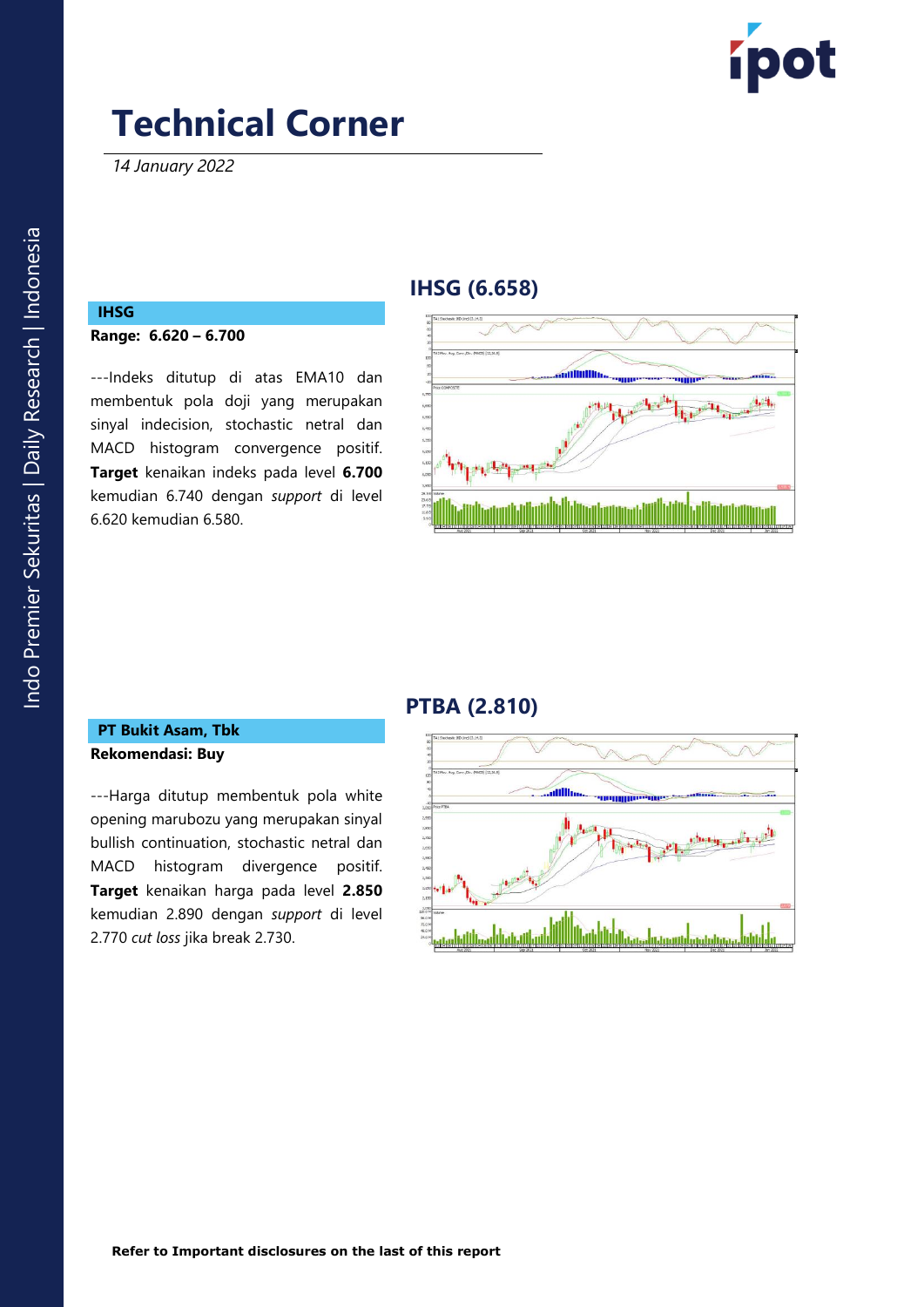

*14 January 2022*

### **IHSG (6.658)**



---Indeks ditutup di atas EMA10 dan membentuk pola doji yang merupakan sinyal indecision, stochastic netral dan MACD histogram convergence positif . **Target** kenaikan indeks pada level **6.700** kemudian 6.7 4 0 dengan *support* di level 6.6 2 0 kemudian 6.5 8 0 .



## **PTBA (2.810 )**

#### **PT Bukit Asam , Tbk Rekomendasi: Buy**

---Harga ditutup membentuk pola white opening marubozu yang merupakan sinyal bullish continuation, stochastic netral dan MACD histogram divergence positif. **Target** kenaikan harga pada level **2.850** kemudian 2.890 dengan *support* di level 2.770 *cut loss* jika break 2.730 .

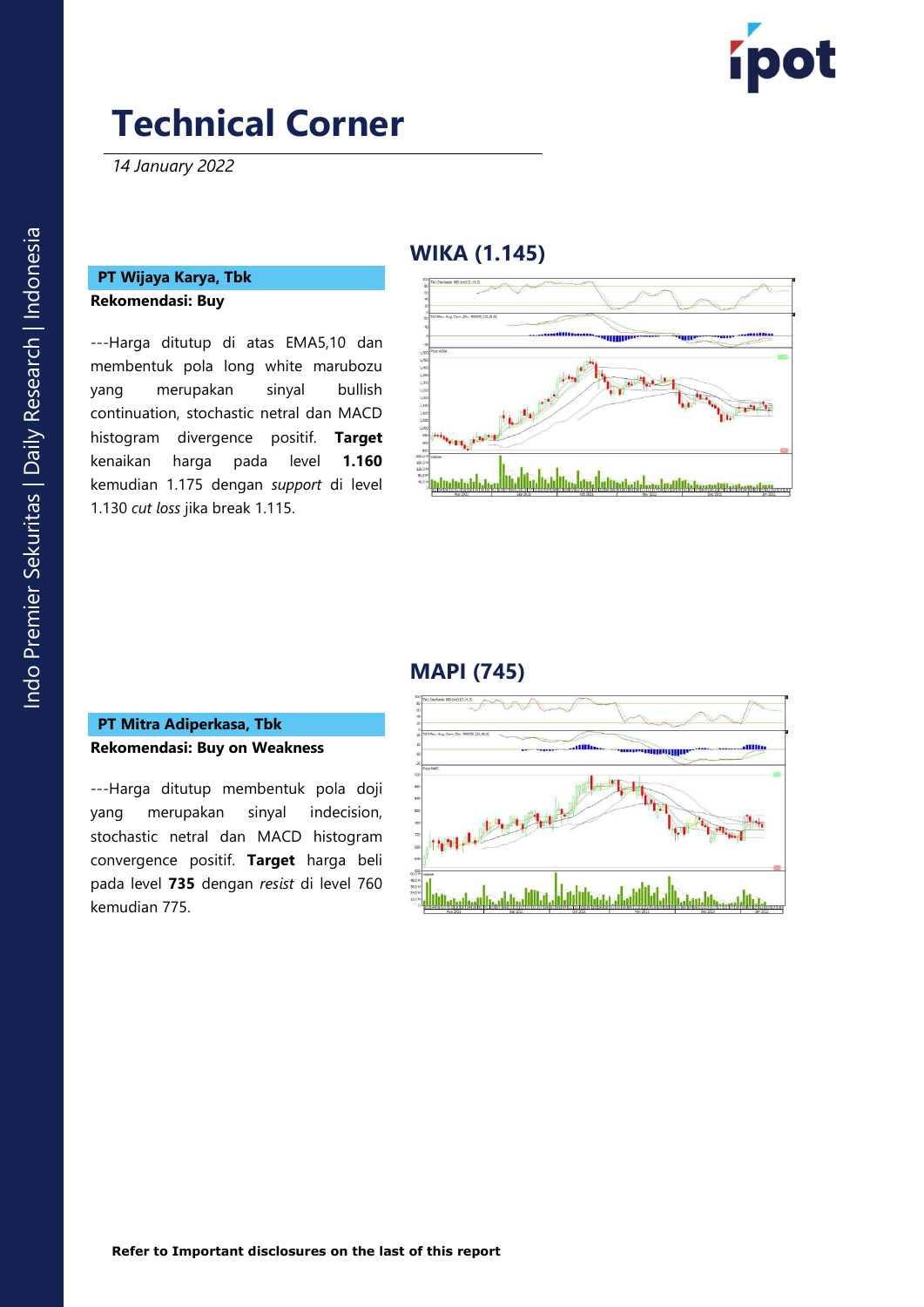

*14 January 2022*

### **PT Wijaya Karya, Tbk Rekomendasi: Buy**

---Harga ditutup di atas EMA5,10 dan membentuk pola long white marubozu yang merupakan sinyal bullish continuation, stochastic netral dan MACD histogram divergence positif. **Target**  kenaikan harga pada level **1.160** kemudian 1.175 dengan *support* di level 1.130 *cut loss* jika break 1.115 .

### **WIKA (1.145 )**



### **MAPI (745)**

#### **PT Mitra Adiperkasa , Tbk Rekomendasi: Buy on Weakness**

---Harga ditutup membentuk pola doji yang merupakan sinyal indecision, stochastic netral dan MACD histogram convergence positif. **Target** harga beli pada level **73 5** dengan *resist* di level 760 kemudian 775 .

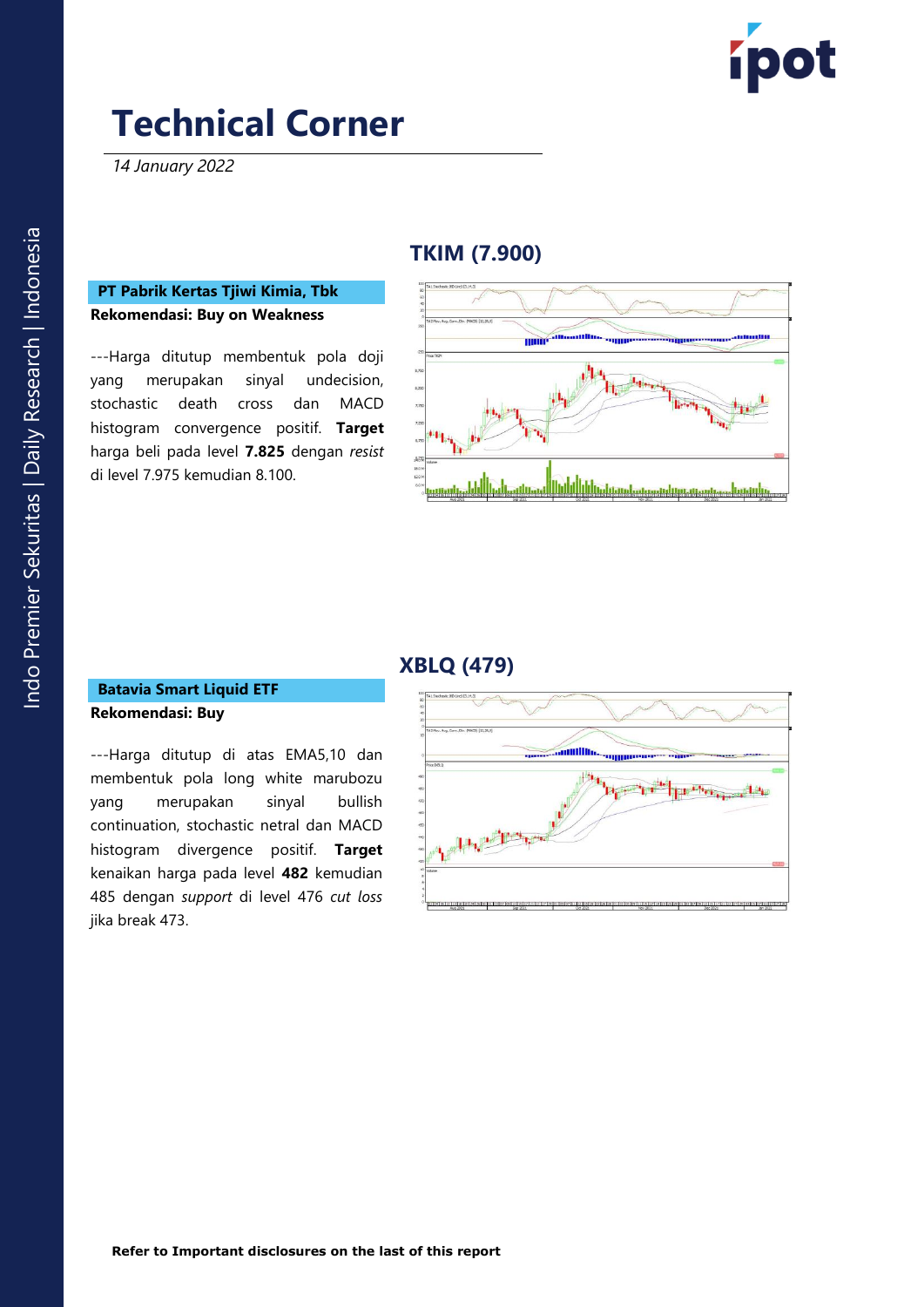

*14 January 2022*

## **TKIM (7.900 )**

#### **PT Pabrik Kertas Tjiwi Kimia, Tbk Rekomendasi: Buy on Weakness**

---Harga ditutup membentuk pola doji yang merupakan sinyal undecision, stochastic death cross dan MACD histogram convergence positif. **Target**  harga beli pada level **7.825** dengan *resist*  di level 7.975 kemudian 8.100 .



### **XBLQ (479)**

#### **Batavia Smart Liquid ETF Rekomendasi: Buy**

---Harga ditutup di atas EMA5,10 dan membentuk pola long white marubozu yang merupakan sinyal bullish continuation, stochastic netral dan MACD histogram divergence positif. **Target**  kenaikan harga pada level **48 2** kemudian 485 dengan *support* di level 476 *cut loss* jika break 473 .

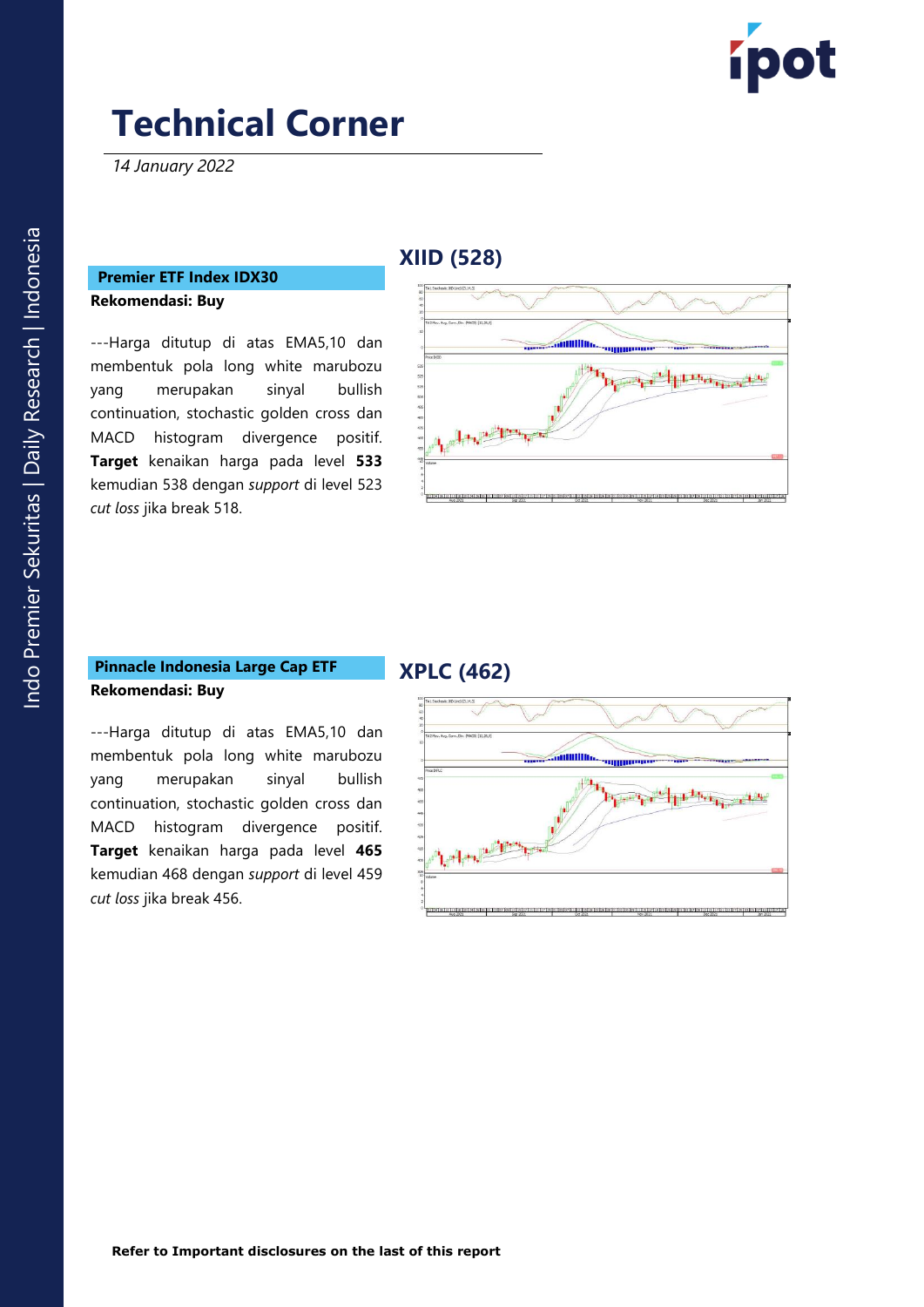

*14 January 2022*

# **Premier ETF Index IDX30**

**Rekomendasi: Buy** 

---Harga ditutup di atas EMA5,10 dan membentuk pola long white marubozu yang merupakan sinyal bullish continuation, stochastic golden cross dan MACD histogram divergence positif. **Target** kenaikan harga pada level **53 3** kemudian 53 8 dengan *support* di level 52 3 *cut loss* jika break 518 .

## **X IID (528 )**



#### **Pinnacle Indonesia Large Cap ETF Rekomendasi: Buy**

### **XPL C (462)**